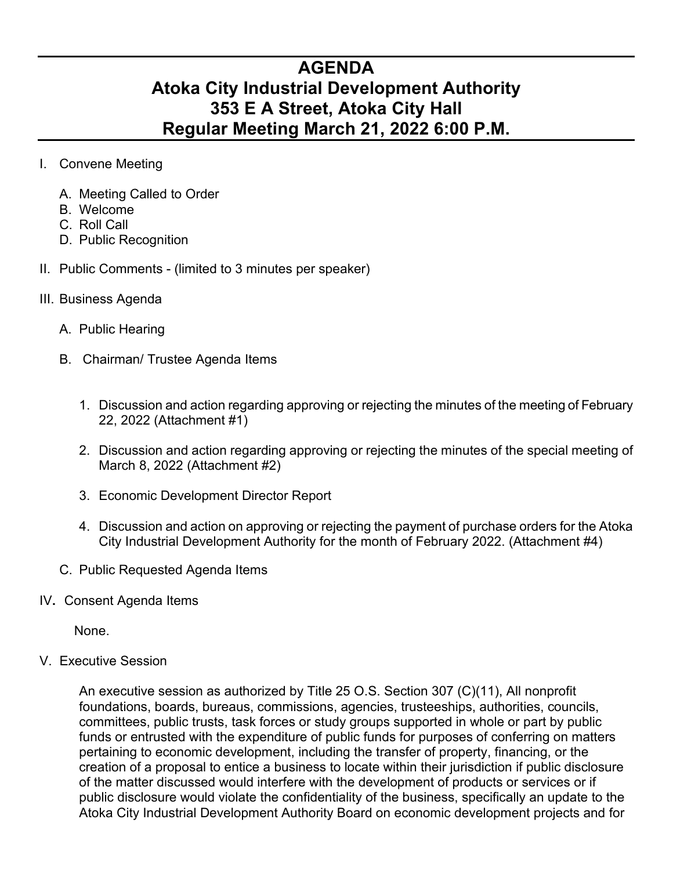## **AGENDA Atoka City Industrial Development Authority 353 E A Street, Atoka City Hall Regular Meeting March 21, 2022 6:00 P.M.**

- I. Convene Meeting
	- A. Meeting Called to Order
	- B. Welcome
	- C. Roll Call
	- D. Public Recognition
- II. Public Comments (limited to 3 minutes per speaker)
- III. Business Agenda
	- A. Public Hearing
	- B. Chairman/ Trustee Agenda Items
		- 1. Discussion and action regarding approving or rejecting the minutes of the meeting of February 22, 2022 (Attachment #1)
		- 2. Discussion and action regarding approving or rejecting the minutes of the special meeting of March 8, 2022 (Attachment #2)
		- 3. Economic Development Director Report
		- 4. Discussion and action on approving or rejecting the payment of purchase orders for the Atoka City Industrial Development Authority for the month of February 2022. (Attachment #4)
	- C. Public Requested Agenda Items
- IV**.** Consent Agenda Items

None.

V. Executive Session

An executive session as authorized by Title 25 O.S. Section 307 (C)(11), All nonprofit foundations, boards, bureaus, commissions, agencies, trusteeships, authorities, councils, committees, public trusts, task forces or study groups supported in whole or part by public funds or entrusted with the expenditure of public funds for purposes of conferring on matters pertaining to economic development, including the transfer of property, financing, or the creation of a proposal to entice a business to locate within their jurisdiction if public disclosure of the matter discussed would interfere with the development of products or services or if public disclosure would violate the confidentiality of the business, specifically an update to the Atoka City Industrial Development Authority Board on economic development projects and for